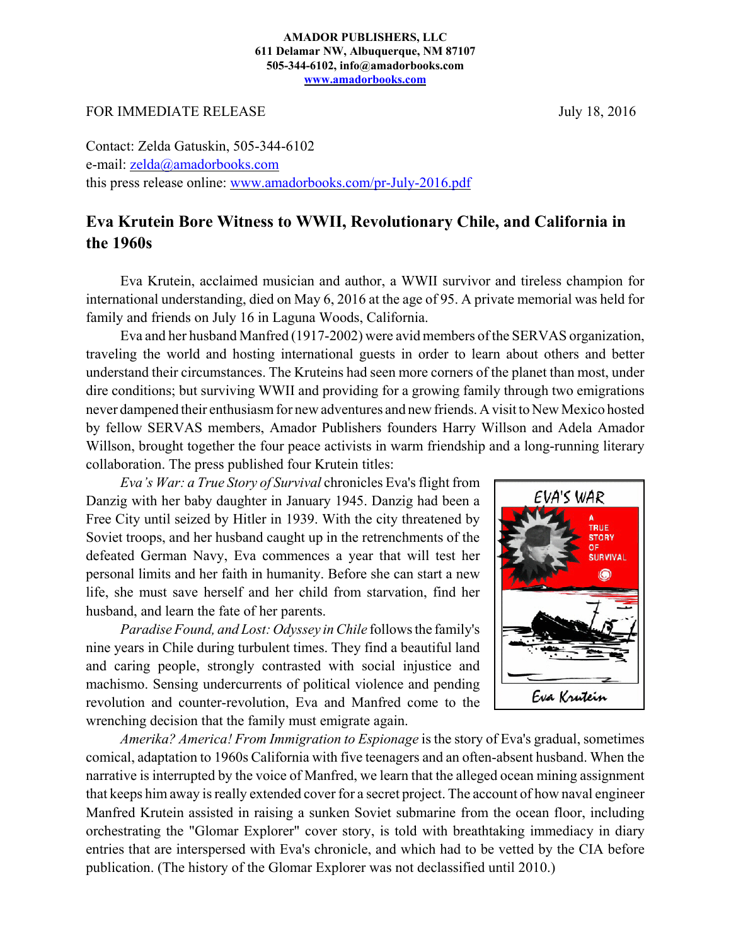## **AMADOR PUBLISHERS, LLC 611 Delamar NW, Albuquerque, NM 87107 505-344-6102, info@amadorbooks.com www.amadorbooks.com**

FOR IMMEDIATE RELEASE July 18, 2016

Contact: Zelda Gatuskin, 505-344-6102 e-mail: zelda@amadorbooks.com this press release online: www.amadorbooks.com/pr-July-2016.pdf

## **Eva Krutein Bore Witness to WWII, Revolutionary Chile, and California in the 1960s**

Eva Krutein, acclaimed musician and author, a WWII survivor and tireless champion for international understanding, died on May 6, 2016 at the age of 95. A private memorial was held for family and friends on July 16 in Laguna Woods, California.

Eva and her husband Manfred (1917-2002) were avid members of the SERVAS organization, traveling the world and hosting international guests in order to learn about others and better understand their circumstances. The Kruteins had seen more corners of the planet than most, under dire conditions; but surviving WWII and providing for a growing family through two emigrations never dampened their enthusiasm for new adventures and new friends. A visit to New Mexico hosted by fellow SERVAS members, Amador Publishers founders Harry Willson and Adela Amador Willson, brought together the four peace activists in warm friendship and a long-running literary collaboration. The press published four Krutein titles:

*Eva's War: a True Story of Survival* chronicles Eva's flight from Danzig with her baby daughter in January 1945. Danzig had been a Free City until seized by Hitler in 1939. With the city threatened by Soviet troops, and her husband caught up in the retrenchments of the defeated German Navy, Eva commences a year that will test her personal limits and her faith in humanity. Before she can start a new life, she must save herself and her child from starvation, find her husband, and learn the fate of her parents.

*Paradise Found, and Lost: Odyssey in Chile* follows the family's nine years in Chile during turbulent times. They find a beautiful land and caring people, strongly contrasted with social injustice and machismo. Sensing undercurrents of political violence and pending revolution and counter-revolution, Eva and Manfred come to the wrenching decision that the family must emigrate again.



*Amerika? America! From Immigration to Espionage* is the story of Eva's gradual, sometimes comical, adaptation to 1960s California with five teenagers and an often-absent husband. When the narrative is interrupted by the voice of Manfred, we learn that the alleged ocean mining assignment that keeps him away is really extended cover for a secret project. The account of how naval engineer Manfred Krutein assisted in raising a sunken Soviet submarine from the ocean floor, including orchestrating the "Glomar Explorer" cover story, is told with breathtaking immediacy in diary entries that are interspersed with Eva's chronicle, and which had to be vetted by the CIA before publication. (The history of the Glomar Explorer was not declassified until 2010.)